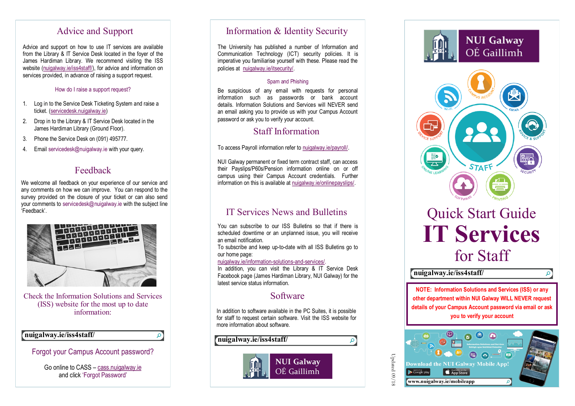# Advice and Support

Advice and support on how to use IT services are available from the Library & IT Service Desk located in the foyer of the James Hardiman Library. We recommend visiting the ISS website (nuigalway.ie/iss4staff/), for advice and information on services provided, in advance of raising a support request.

### How do I raise a support request?

- 1. Log in to the Service Desk Ticketing System and raise a ticket. (servicedesk.nuigalway.ie)
- 2. Drop in to the Library & IT Service Desk located in the James Hardiman Library (Ground Floor).
- 3. Phone the Service Desk on (091) 495777.
- 4. Email servicedesk@nuigalway.ie with your query.

# Feedback

We welcome all feedback on your experience of our service and any comments on how we can improve. You can respond to the survey provided on the closure of your ticket or can also send your comments to [servicedesk@nuigalway.ie](mailto:servicedesk@nuigalway.ie) with the subject line 'Feedback'.



Check the Information Solutions and Services (ISS) website for the most up to date information:

### **nuigalway.ie/iss4staff/**

### Forgot your Campus Account password?

َم

Go online to CASS – [cass.nuigalway.ie](https://cass.nuigalway.ie) and click 'Forgot Password'

# Information & Identity Security

The University has published a number of Information and Communication Technology (ICT) security policies. It is imperative you familiarise yourself with these. Please read the policies at nuigalway.ie/itsecurity/.

### Spam and Phishing

Be suspicious of any email with requests for personal information such as passwords or bank account details. Information Solutions and Services will NEVER send an email asking you to provide us with your Campus Account password or ask you to verify your account.

# Staff Information

To access Payroll information refer to nuigalway.ie/payroll/.

NUI Galway permanent or fixed term contract staff, can access their Payslips/P60s/Pension information online on or off campus using their Campus Account credentials. Further information on this is available at nuigalway.ie/onlinepayslips/.

# IT Services News and Bulletins

You can subscribe to our ISS Bulletins so that if there is scheduled downtime or an unplanned issue, you will receive an email notification.

To subscribe and keep up-to-date with all ISS Bulletins go to our home page:

### nuigalway.ie/information-solutions-and-services/.

In addition, you can visit the Library & IT Service Desk Facebook page (James Hardiman Library, NUI Galway) for the latest service status information.

# Software

In addition to software available in the PC Suites, it is possible for staff to request certain software. Visit the ISS website for more information about software.





# Quick Start Guide **IT Services**  for Staff

### **nuigalway.ie/iss4staff/**

**NOTE: Information Solutions and Services (ISS) or any other department within NUI Galway WILL NEVER request details of your Campus Account password via email or ask you to verify your account**